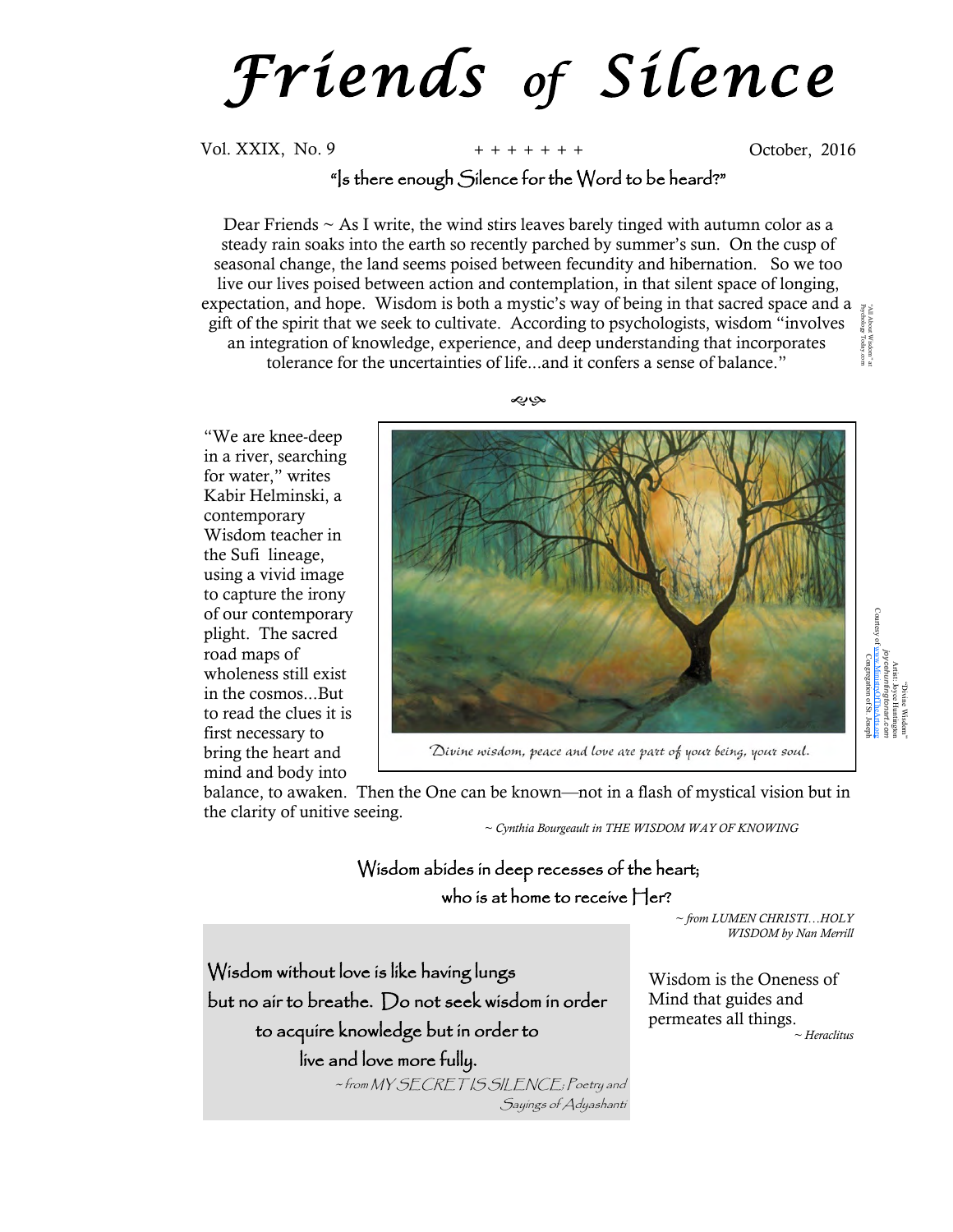*F r i e n d s of S i l e n c e*

Vol. XXIX, No. 9 **+ + + + + + +** October, 2016

## "Is there enough Silence for the Word to be heard?"

Dear Friends  $\sim$  As I write, the wind stirs leaves barely tinged with autumn color as a steady rain soaks into the earth so recently parched by summer's sun. On the cusp of seasonal change, the land seems poised between fecundity and hibernation. So we too live our lives poised between action and contemplation, in that silent space of longing, expectation, and hope. Wisdom is both a mystic's way of being in that sacred space and a  $\frac{1}{2}$ Psychology Today.com gift of the spirit that we seek to cultivate. According to psychologists, wisdom "involves About<br>hology t Wisdom" at<br>y Today.com an integration of knowledge, experience, and deep understanding that incorporates tolerance for the uncertainties of life...and it confers a sense of balance."

حبابها

"We are knee-deep in a river, searching for water," writes Kabir Helminski, a contemporary Wisdom teacher in the Sufi lineage, using a vivid image to capture the irony of our contemporary plight. The sacred road maps of wholeness still exist in the cosmos...But to read the clues it is first necessary to bring the heart and mind and body into



Divine wisdom, peace and love are part of your being, your soul.

balance, to awaken. Then the One can be known—not in a flash of mystical vision but in the clarity of unitive seeing.

*~ Cynthia Bourgeault in THE WISDOM WAY OF KNOWING*

## Wisdom abides in deep recesses of the heart; who is at home to receive Her?

*~ from LUMEN CHRISTI…HOLY WISDOM by Nan Merrill* 

Wisdom is the Oneness of Mind that guides and permeates all things. *~ Heraclitus* 

Wisdom without love is like having lungs but no air to breathe. Do not seek wisdom in order to acquire knowledge but in order to live and love more fully.

> ~ from MY SECRET IS SILENCE; Poetry and Sayings of Adyashanti

"Divine Wisdom" Artist: Joyce Huntington *joycehuntingtonart.com* Courtesy of [www.MinistryOfTheArts.org](http://www.MinistryOfTheArts.org) Congregation of St. Joseph

"All About Wisdom" at